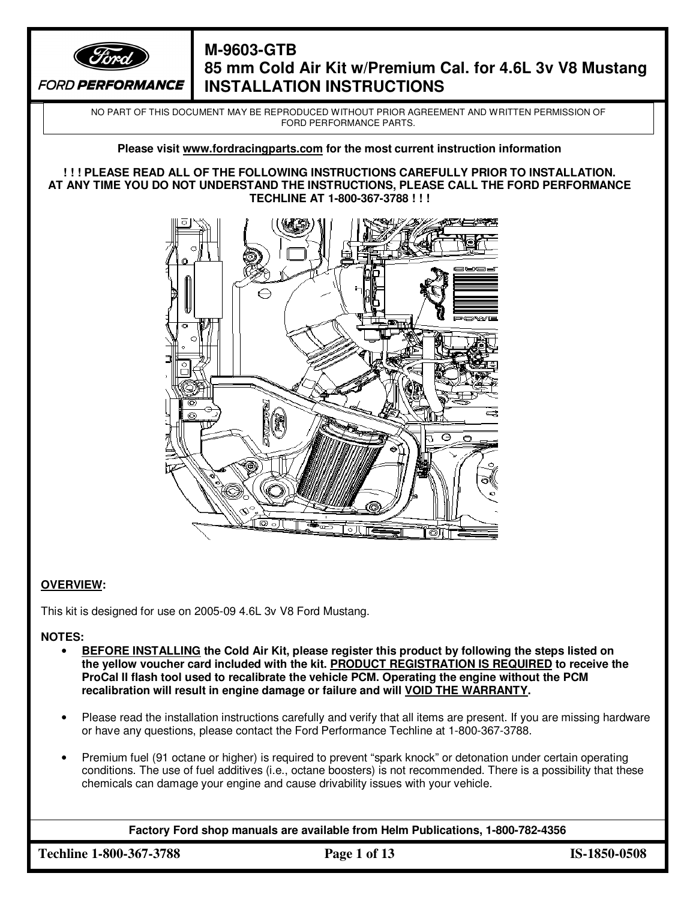

# **M-9603-GTB 85 mm Cold Air Kit w/Premium Cal. for 4.6L 3v V8 Mustang INSTALLATION INSTRUCTIONS**

NO PART OF THIS DOCUMENT MAY BE REPRODUCED WITHOUT PRIOR AGREEMENT AND WRITTEN PERMISSION OF FORD PERFORMANCE PARTS.

### **Please visit www.fordracingparts.com for the most current instruction information**

#### **! ! ! PLEASE READ ALL OF THE FOLLOWING INSTRUCTIONS CAREFULLY PRIOR TO INSTALLATION. AT ANY TIME YOU DO NOT UNDERSTAND THE INSTRUCTIONS, PLEASE CALL THE FORD PERFORMANCE TECHLINE AT 1-800-367-3788 ! ! !**



### **OVERVIEW:**

This kit is designed for use on 2005-09 4.6L 3v V8 Ford Mustang.

**NOTES:** 

- **BEFORE INSTALLING the Cold Air Kit, please register this product by following the steps listed on the yellow voucher card included with the kit. PRODUCT REGISTRATION IS REQUIRED to receive the ProCal II flash tool used to recalibrate the vehicle PCM. Operating the engine without the PCM recalibration will result in engine damage or failure and will VOID THE WARRANTY.**
- Please read the installation instructions carefully and verify that all items are present. If you are missing hardware or have any questions, please contact the Ford Performance Techline at 1-800-367-3788.
- Premium fuel (91 octane or higher) is required to prevent "spark knock" or detonation under certain operating conditions. The use of fuel additives (i.e., octane boosters) is not recommended. There is a possibility that these chemicals can damage your engine and cause drivability issues with your vehicle.

**Factory Ford shop manuals are available from Helm Publications, 1-800-782-4356**

**Techline 1-800-367-3788 Page 1 of 13 IS-1850-0508**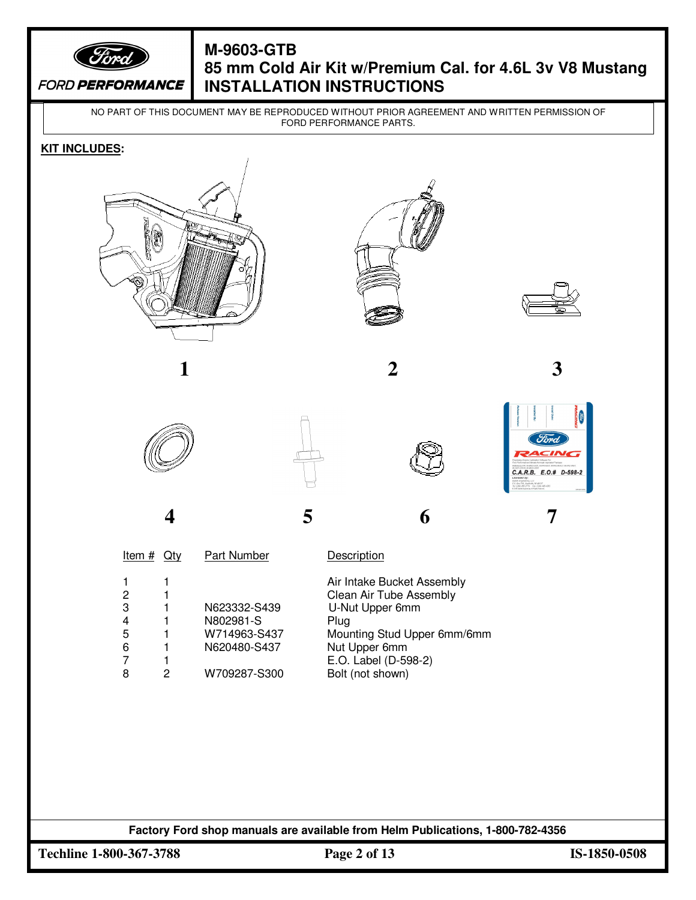

# **M-9603-GTB 85 mm Cold Air Kit w/Premium Cal. for 4.6L 3v V8 Mustang INSTALLATION INSTRUCTIONS**

NO PART OF THIS DOCUMENT MAY BE REPRODUCED WITHOUT PRIOR AGREEMENT AND WRITTEN PERMISSION OF FORD PERFORMANCE PARTS.

#### **KIT INCLUDES:**





















**4 5 6 7**

Item # Qty Part Number Description

|   |   |              | Air Intake Bucket Assembly  |
|---|---|--------------|-----------------------------|
| 2 |   |              | Clean Air Tube Assembly     |
| 3 |   | N623332-S439 | U-Nut Upper 6mm             |
| 4 |   | N802981-S    | Plug                        |
| 5 |   | W714963-S437 | Mounting Stud Upper 6mm/6mm |
| 6 |   | N620480-S437 | Nut Upper 6mm               |
| 7 |   |              | E.O. Label (D-598-2)        |
| 8 | 2 | W709287-S300 | Bolt (not shown)            |
|   |   |              |                             |

**Factory Ford shop manuals are available from Helm Publications, 1-800-782-4356**  $\overline{a}$ 

**Techline 1-800-367-3788 Page 2 of 13 IS-1850-0508**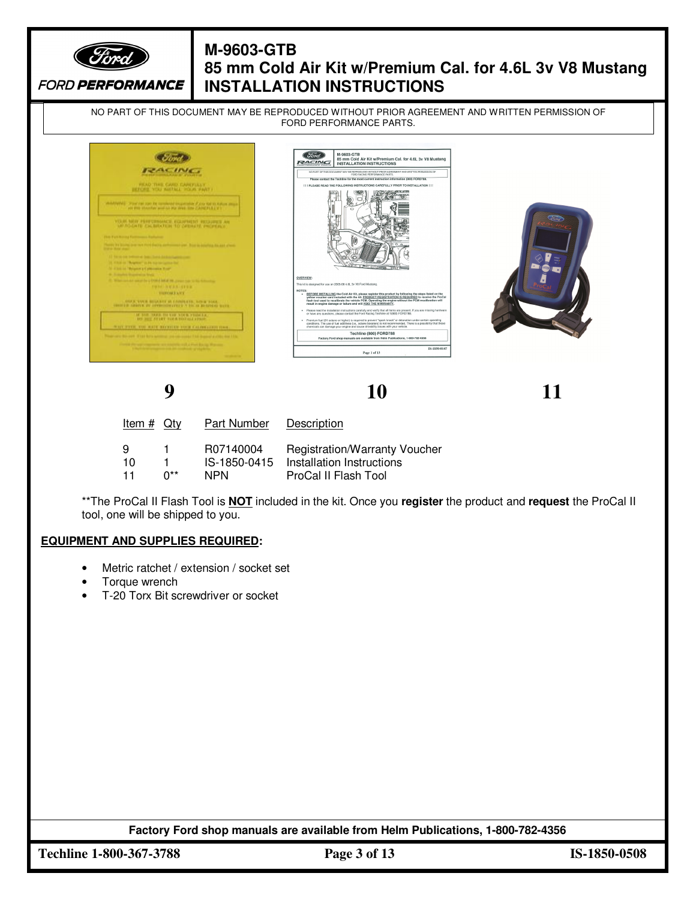

# **M-9603-GTB 85 mm Cold Air Kit w/Premium Cal. for 4.6L 3v V8 Mustang INSTALLATION INSTRUCTIONS**

NO PART OF THIS DOCUMENT MAY BE REPRODUCED WITHOUT PRIOR AGREEMENT AND WRITTEN PERMISSION OF FORD PERFORMANCE PARTS.



**9 10 11**

| Item $#$ Qty    |           | <b>Part Number</b>                      | Description                                                                               |
|-----------------|-----------|-----------------------------------------|-------------------------------------------------------------------------------------------|
| -9<br>10<br>-11 | 1.<br>∩** | R07140004<br>IS-1850-0415<br><b>NPN</b> | <b>Registration/Warranty Voucher</b><br>Installation Instructions<br>ProCal II Flash Tool |

\*\*The ProCal II Flash Tool is **NOT** included in the kit. Once you **register** the product and **request** the ProCal II tool, one will be shipped to you.

### **EQUIPMENT AND SUPPLIES REQUIRED:**

- Metric ratchet / extension / socket set
- Torque wrench
- T-20 Torx Bit screwdriver or socket

**Factory Ford shop manuals are available from Helm Publications, 1-800-782-4356**

**Techline 1-800-367-3788 Page 3 of 13 IS-1850-0508**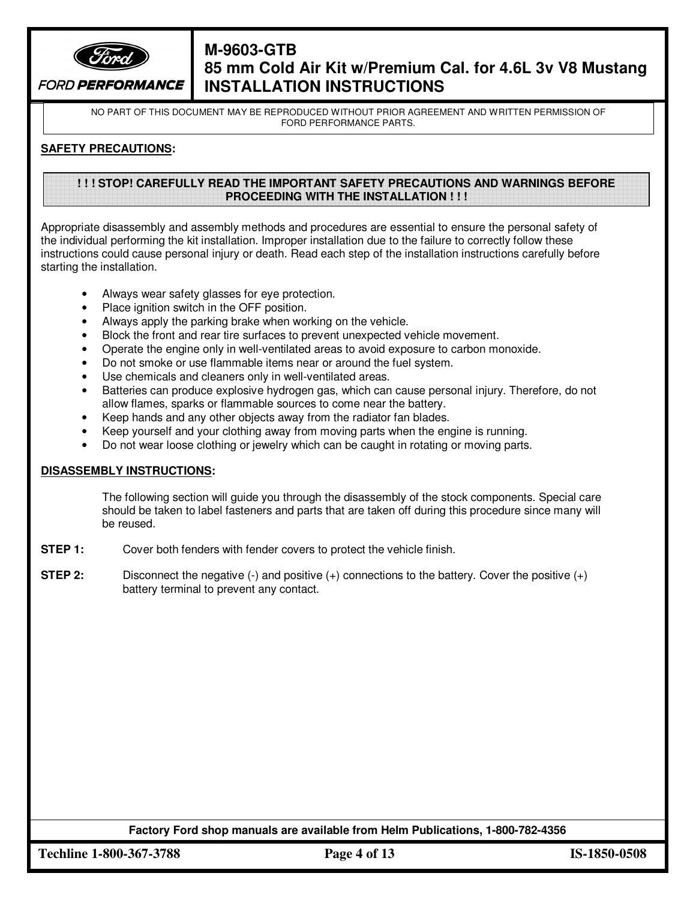

# **M-9603-GTB 85 mm Cold Air Kit w/Premium Cal. for 4.6L 3v V8 Mustang INSTALLATION INSTRUCTIONS**

NO PART OF THIS DOCUMENT MAY BE REPRODUCED WITHOUT PRIOR AGREEMENT AND WRITTEN PERMISSION OF FORD PERFORMANCE PARTS.

#### **SAFETY PRECAUTIONS:**

#### **! ! ! STOP! CAREFULLY READ THE IMPORTANT SAFETY PRECAUTIONS AND WARNINGS BEFORE PROCEEDING WITH THE INSTALLATION ! ! !**

Appropriate disassembly and assembly methods and procedures are essential to ensure the personal safety of the individual performing the kit installation. Improper installation due to the failure to correctly follow these instructions could cause personal injury or death. Read each step of the installation instructions carefully before starting the installation.

- Always wear safety glasses for eye protection.
- Place ignition switch in the OFF position.
- Always apply the parking brake when working on the vehicle.
- Block the front and rear tire surfaces to prevent unexpected vehicle movement.
- Operate the engine only in well-ventilated areas to avoid exposure to carbon monoxide.
- Do not smoke or use flammable items near or around the fuel system.
- Use chemicals and cleaners only in well-ventilated areas.
- Batteries can produce explosive hydrogen gas, which can cause personal injury. Therefore, do not allow flames, sparks or flammable sources to come near the battery.
- Keep hands and any other objects away from the radiator fan blades.
- Keep yourself and your clothing away from moving parts when the engine is running.
- Do not wear loose clothing or jewelry which can be caught in rotating or moving parts.

#### **DISASSEMBLY INSTRUCTIONS:**

The following section will guide you through the disassembly of the stock components. Special care should be taken to label fasteners and parts that are taken off during this procedure since many will be reused.

- **STEP 1:** Cover both fenders with fender covers to protect the vehicle finish.
- **STEP 2:** Disconnect the negative (-) and positive (+) connections to the battery. Cover the positive (+) battery terminal to prevent any contact.

**Factory Ford shop manuals are available from Helm Publications, 1-800-782-4356**

**Techline 1-800-367-3788 Page 4 of 13 IS-1850-0508**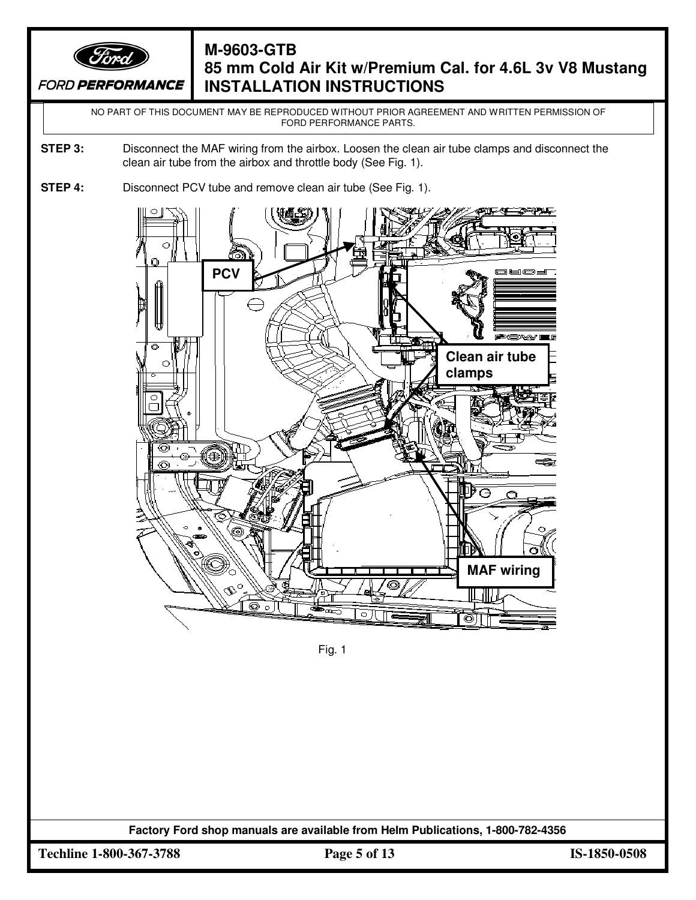

# **M-9603-GTB 85 mm Cold Air Kit w/Premium Cal. for 4.6L 3v V8 Mustang INSTALLATION INSTRUCTIONS**

NO PART OF THIS DOCUMENT MAY BE REPRODUCED WITHOUT PRIOR AGREEMENT AND WRITTEN PERMISSION OF FORD PERFORMANCE PARTS.

- **STEP 3:** Disconnect the MAF wiring from the airbox. Loosen the clean air tube clamps and disconnect the clean air tube from the airbox and throttle body (See Fig. 1).
- **STEP 4:** Disconnect PCV tube and remove clean air tube (See Fig. 1).



Fig. 1

**Factory Ford shop manuals are available from Helm Publications, 1-800-782-4356**

**Techline 1-800-367-3788 Page 5 of 13 IS-1850-0508**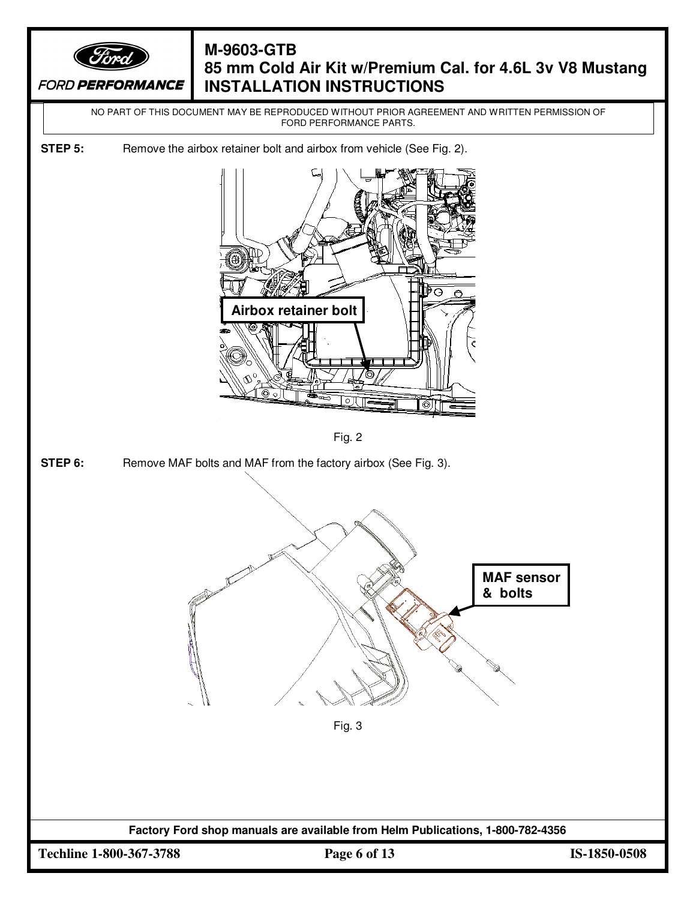

# **M-9603-GTB 85 mm Cold Air Kit w/Premium Cal. for 4.6L 3v V8 Mustang INSTALLATION INSTRUCTIONS**

NO PART OF THIS DOCUMENT MAY BE REPRODUCED WITHOUT PRIOR AGREEMENT AND WRITTEN PERMISSION OF FORD PERFORMANCE PARTS.

**STEP 5:** Remove the airbox retainer bolt and airbox from vehicle (See Fig. 2).



Fig. 2

**STEP 6:** Remove MAF bolts and MAF from the factory airbox (See Fig. 3).



**Factory Ford shop manuals are available from Helm Publications, 1-800-782-4356**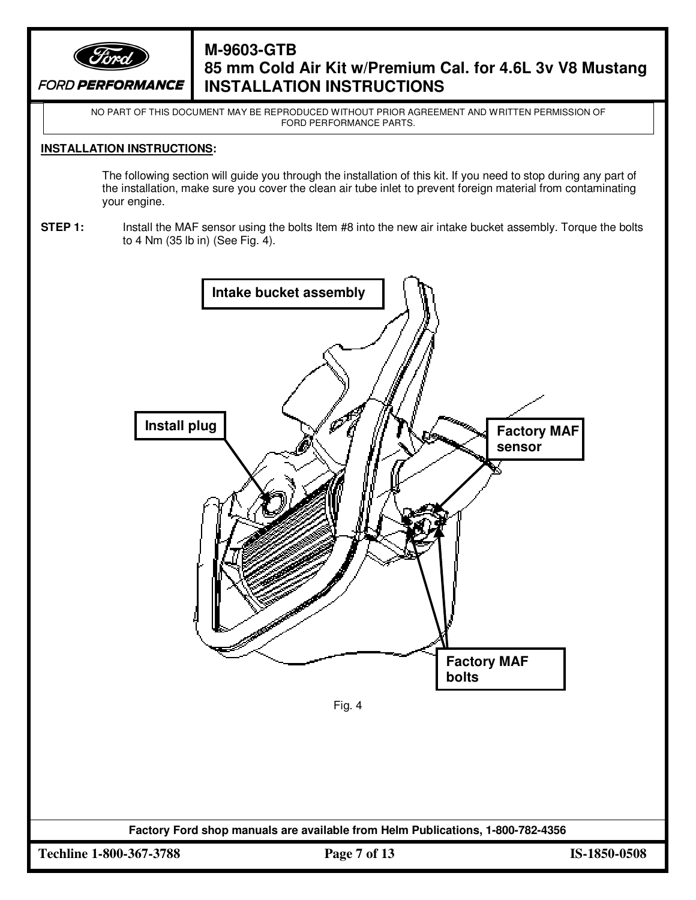

## **M-9603-GTB 85 mm Cold Air Kit w/Premium Cal. for 4.6L 3v V8 Mustang INSTALLATION INSTRUCTIONS**

NO PART OF THIS DOCUMENT MAY BE REPRODUCED WITHOUT PRIOR AGREEMENT AND WRITTEN PERMISSION OF FORD PERFORMANCE PARTS.

#### **INSTALLATION INSTRUCTIONS:**

The following section will guide you through the installation of this kit. If you need to stop during any part of the installation, make sure you cover the clean air tube inlet to prevent foreign material from contaminating your engine.

**STEP 1:** Install the MAF sensor using the bolts Item #8 into the new air intake bucket assembly. Torque the bolts to 4 Nm (35 lb in) (See Fig. 4).

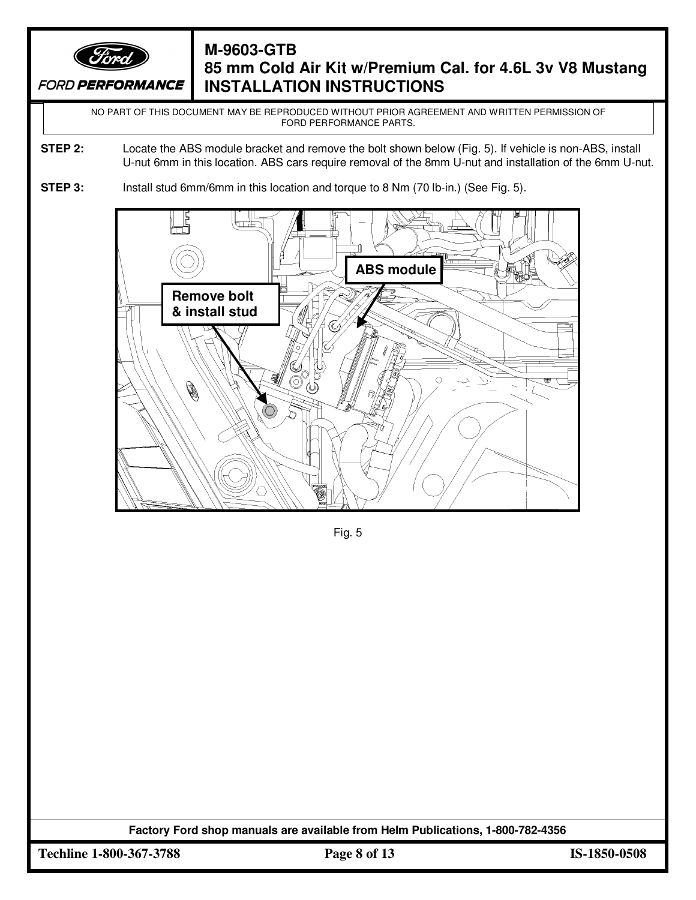

# **M-9603-GTB 85 mm Cold Air Kit w/Premium Cal. for 4.6L 3v V8 Mustang INSTALLATION INSTRUCTIONS**

NO PART OF THIS DOCUMENT MAY BE REPRODUCED WITHOUT PRIOR AGREEMENT AND WRITTEN PERMISSION OF FORD PERFORMANCE PARTS.

- **STEP 2:** Locate the ABS module bracket and remove the bolt shown below (Fig. 5). If vehicle is non-ABS, install U-nut 6mm in this location. ABS cars require removal of the 8mm U-nut and installation of the 6mm U-nut.
- **STEP 3:** Install stud 6mm/6mm in this location and torque to 8 Nm (70 lb-in.) (See Fig. 5).



Fig. 5

**Factory Ford shop manuals are available from Helm Publications, 1-800-782-4356**

**Techline 1-800-367-3788 Page 8 of 13 IS-1850-0508**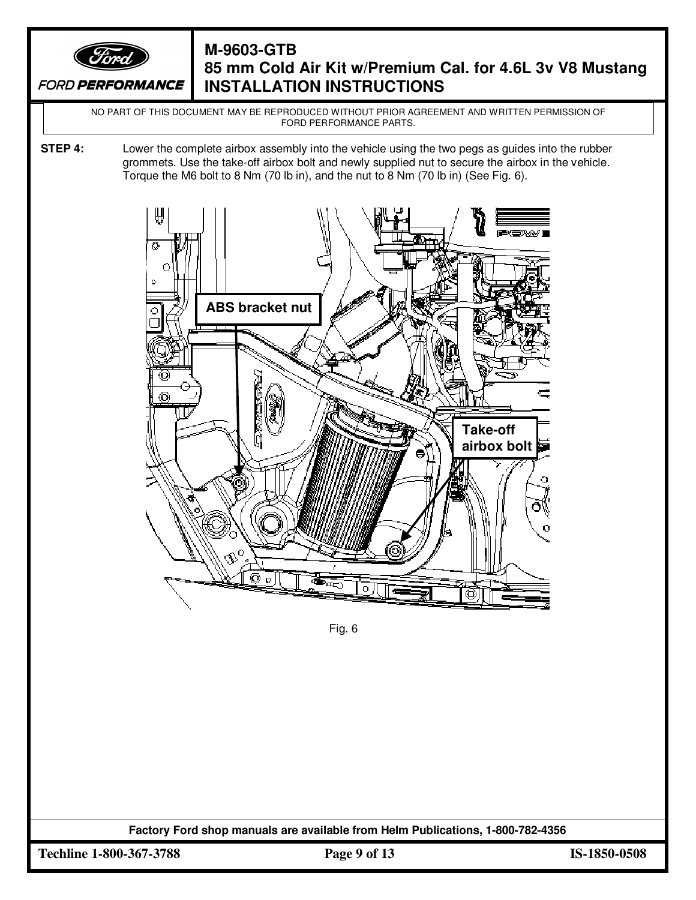

# **M-9603-GTB 85 mm Cold Air Kit w/Premium Cal. for 4.6L 3v V8 Mustang INSTALLATION INSTRUCTIONS**

NO PART OF THIS DOCUMENT MAY BE REPRODUCED WITHOUT PRIOR AGREEMENT AND WRITTEN PERMISSION OF FORD PERFORMANCE PARTS.

**STEP 4:** Lower the complete airbox assembly into the vehicle using the two pegs as guides into the rubber grommets. Use the take-off airbox bolt and newly supplied nut to secure the airbox in the vehicle. Torque the M6 bolt to 8 Nm (70 lb in), and the nut to 8 Nm (70 lb in) (See Fig. 6).



Fig. 6

**Factory Ford shop manuals are available from Helm Publications, 1-800-782-4356**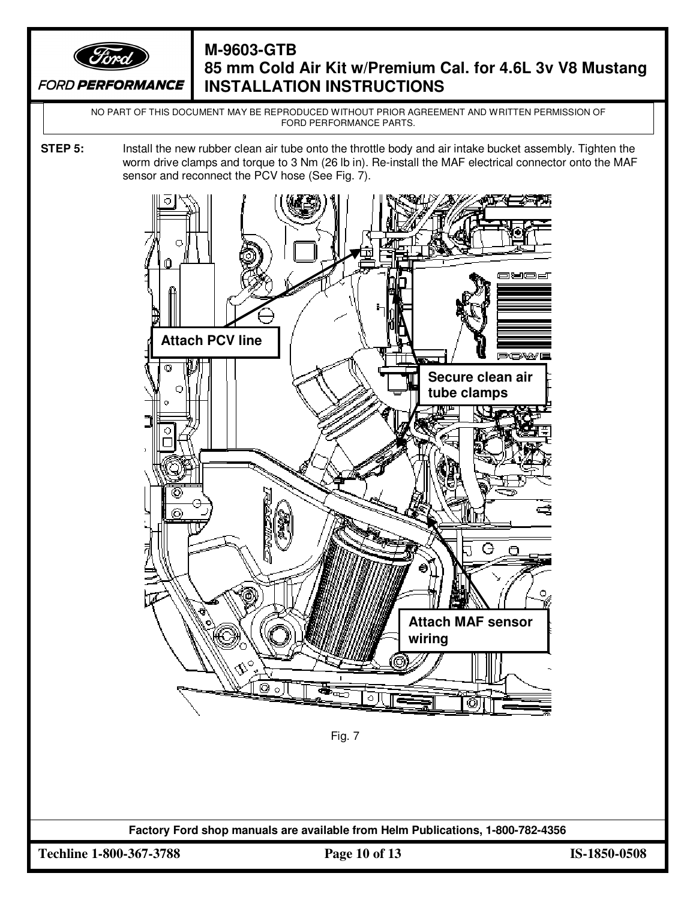

# **M-9603-GTB 85 mm Cold Air Kit w/Premium Cal. for 4.6L 3v V8 Mustang INSTALLATION INSTRUCTIONS**

NO PART OF THIS DOCUMENT MAY BE REPRODUCED WITHOUT PRIOR AGREEMENT AND WRITTEN PERMISSION OF FORD PERFORMANCE PARTS.

**STEP 5:** Install the new rubber clean air tube onto the throttle body and air intake bucket assembly. Tighten the worm drive clamps and torque to 3 Nm (26 lb in). Re-install the MAF electrical connector onto the MAF sensor and reconnect the PCV hose (See Fig. 7).



Fig. 7

**Factory Ford shop manuals are available from Helm Publications, 1-800-782-4356**

**Techline 1-800-367-3788 Page 10 of 13 IS-1850-0508**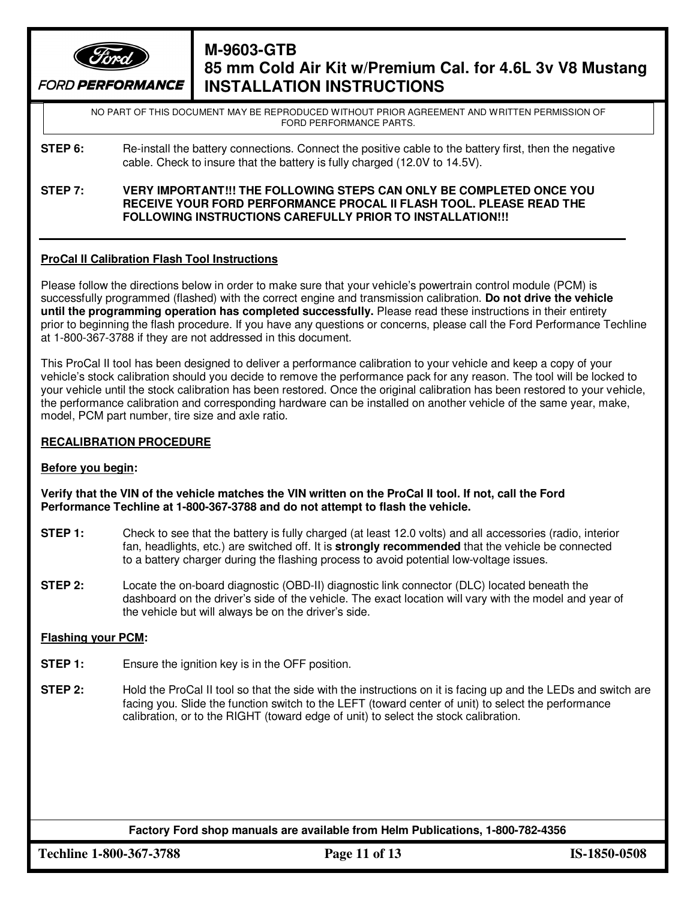

# **M-9603-GTB 85 mm Cold Air Kit w/Premium Cal. for 4.6L 3v V8 Mustang INSTALLATION INSTRUCTIONS**

NO PART OF THIS DOCUMENT MAY BE REPRODUCED WITHOUT PRIOR AGREEMENT AND WRITTEN PERMISSION OF FORD PERFORMANCE PARTS.

- **STEP 6:** Re-install the battery connections. Connect the positive cable to the battery first, then the negative cable. Check to insure that the battery is fully charged (12.0V to 14.5V).
- **STEP 7: VERY IMPORTANT!!! THE FOLLOWING STEPS CAN ONLY BE COMPLETED ONCE YOU RECEIVE YOUR FORD PERFORMANCE PROCAL II FLASH TOOL. PLEASE READ THE FOLLOWING INSTRUCTIONS CAREFULLY PRIOR TO INSTALLATION!!!**

#### **ProCal II Calibration Flash Tool Instructions**

Please follow the directions below in order to make sure that your vehicle's powertrain control module (PCM) is successfully programmed (flashed) with the correct engine and transmission calibration. **Do not drive the vehicle until the programming operation has completed successfully.** Please read these instructions in their entirety prior to beginning the flash procedure. If you have any questions or concerns, please call the Ford Performance Techline at 1-800-367-3788 if they are not addressed in this document.

This ProCal II tool has been designed to deliver a performance calibration to your vehicle and keep a copy of your vehicle's stock calibration should you decide to remove the performance pack for any reason. The tool will be locked to your vehicle until the stock calibration has been restored. Once the original calibration has been restored to your vehicle, the performance calibration and corresponding hardware can be installed on another vehicle of the same year, make, model, PCM part number, tire size and axle ratio.

#### **RECALIBRATION PROCEDURE**

#### **Before you begin:**

**Verify that the VIN of the vehicle matches the VIN written on the ProCal II tool. If not, call the Ford Performance Techline at 1-800-367-3788 and do not attempt to flash the vehicle.** 

- **STEP 1:** Check to see that the battery is fully charged (at least 12.0 volts) and all accessories (radio, interior fan, headlights, etc.) are switched off. It is **strongly recommended** that the vehicle be connected to a battery charger during the flashing process to avoid potential low-voltage issues.
- **STEP 2:** Locate the on-board diagnostic (OBD-II) diagnostic link connector (DLC) located beneath the dashboard on the driver's side of the vehicle. The exact location will vary with the model and year of the vehicle but will always be on the driver's side.

#### **Flashing your PCM:**

- **STEP 1:** Ensure the ignition key is in the OFF position.
- **STEP 2:** Hold the ProCal II tool so that the side with the instructions on it is facing up and the LEDs and switch are facing you. Slide the function switch to the LEFT (toward center of unit) to select the performance calibration, or to the RIGHT (toward edge of unit) to select the stock calibration.

**Factory Ford shop manuals are available from Helm Publications, 1-800-782-4356**

**Techline 1-800-367-3788 Page 11 of 13 IS-1850-0508**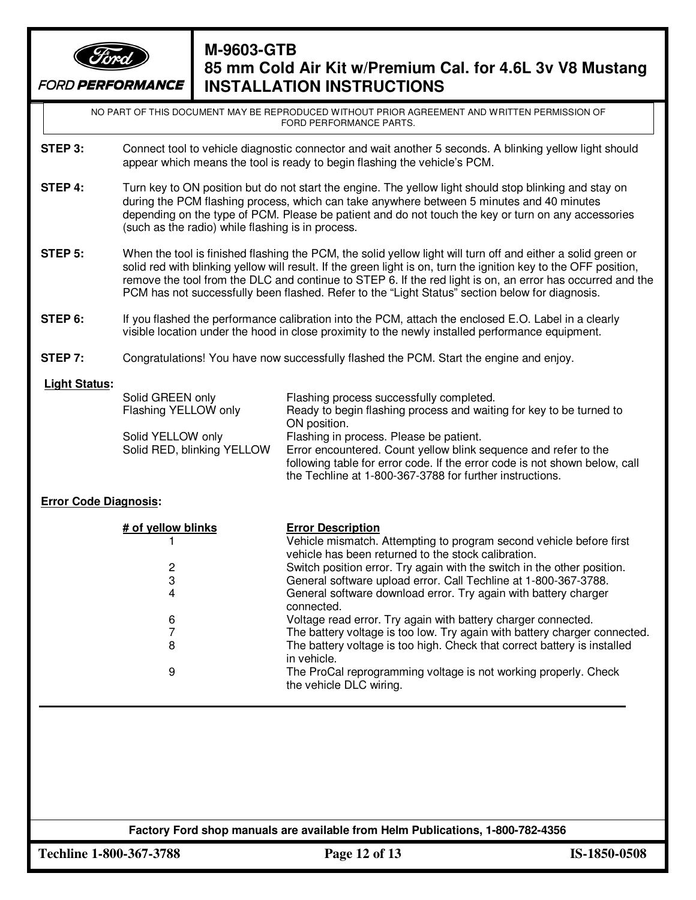

## **M-9603-GTB 85 mm Cold Air Kit w/Premium Cal. for 4.6L 3v V8 Mustang INSTALLATION INSTRUCTIONS**

NO PART OF THIS DOCUMENT MAY BE REPRODUCED WITHOUT PRIOR AGREEMENT AND WRITTEN PERMISSION OF FORD PERFORMANCE PARTS.

- **STEP 3:** Connect tool to vehicle diagnostic connector and wait another 5 seconds. A blinking yellow light should appear which means the tool is ready to begin flashing the vehicle's PCM.
- **STEP 4:** Turn key to ON position but do not start the engine. The yellow light should stop blinking and stay on during the PCM flashing process, which can take anywhere between 5 minutes and 40 minutes depending on the type of PCM. Please be patient and do not touch the key or turn on any accessories (such as the radio) while flashing is in process.
- **STEP 5:** When the tool is finished flashing the PCM, the solid yellow light will turn off and either a solid green or solid red with blinking yellow will result. If the green light is on, turn the ignition key to the OFF position, remove the tool from the DLC and continue to STEP 6. If the red light is on, an error has occurred and the PCM has not successfully been flashed. Refer to the "Light Status" section below for diagnosis.
- **STEP 6:** If you flashed the performance calibration into the PCM, attach the enclosed E.O. Label in a clearly visible location under the hood in close proximity to the newly installed performance equipment.
- **STEP 7:** Congratulations! You have now successfully flashed the PCM. Start the engine and enjoy.

#### **Light Status:**

| Solid GREEN only           | Flashing process successfully completed.                                   |
|----------------------------|----------------------------------------------------------------------------|
| Flashing YELLOW only       | Ready to begin flashing process and waiting for key to be turned to        |
|                            | ON position.                                                               |
| Solid YELLOW only          | Flashing in process. Please be patient.                                    |
| Solid RED, blinking YELLOW | Error encountered. Count yellow blink sequence and refer to the            |
|                            | following table for error code. If the error code is not shown below, call |
|                            | the Techline at 1-800-367-3788 for further instructions.                   |

#### **Error Code Diagnosis:**

| # of yellow blinks | <b>Error Description</b>                                                                                                   |
|--------------------|----------------------------------------------------------------------------------------------------------------------------|
|                    | Vehicle mismatch. Attempting to program second vehicle before first<br>vehicle has been returned to the stock calibration. |
| 2                  | Switch position error. Try again with the switch in the other position.                                                    |
| 3                  | General software upload error. Call Techline at 1-800-367-3788.                                                            |
| 4                  | General software download error. Try again with battery charger<br>connected.                                              |
| 6                  | Voltage read error. Try again with battery charger connected.                                                              |
|                    | The battery voltage is too low. Try again with battery charger connected.                                                  |
| 8                  | The battery voltage is too high. Check that correct battery is installed<br>in vehicle.                                    |
| 9                  | The ProCal reprogramming voltage is not working properly. Check<br>the vehicle DLC wiring.                                 |

#### **Factory Ford shop manuals are available from Helm Publications, 1-800-782-4356**

**Techline 1-800-367-3788 Page 12 of 13 IS-1850-0508**